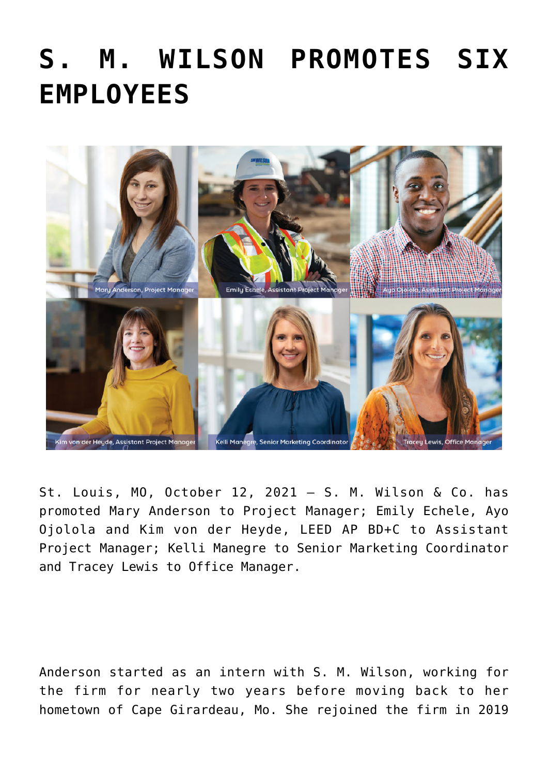## **[S. M. WILSON PROMOTES SIX](https://smwilson.com/press-releases/s-m-wilson-promotes-six-employees) [EMPLOYEES](https://smwilson.com/press-releases/s-m-wilson-promotes-six-employees)**



St. Louis, MO, October 12, 2021 – S. M. Wilson & Co. has promoted Mary Anderson to Project Manager; Emily Echele, Ayo Ojolola and Kim von der Heyde, LEED AP BD+C to Assistant Project Manager; Kelli Manegre to Senior Marketing Coordinator and Tracey Lewis to Office Manager.

Anderson started as an intern with S. M. Wilson, working for the firm for nearly two years before moving back to her hometown of Cape Girardeau, Mo. She rejoined the firm in 2019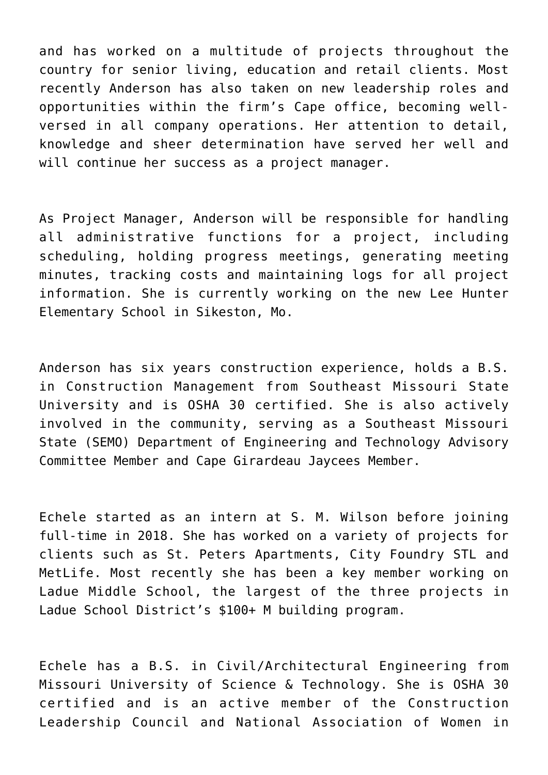and has worked on a multitude of projects throughout the country for senior living, education and retail clients. Most recently Anderson has also taken on new leadership roles and opportunities within the firm's Cape office, becoming wellversed in all company operations. Her attention to detail, knowledge and sheer determination have served her well and will continue her success as a project manager.

As Project Manager, Anderson will be responsible for handling all administrative functions for a project, including scheduling, holding progress meetings, generating meeting minutes, tracking costs and maintaining logs for all project information. She is currently working on the new Lee Hunter Elementary School in Sikeston, Mo.

Anderson has six years construction experience, holds a B.S. in Construction Management from Southeast Missouri State University and is OSHA 30 certified. She is also actively involved in the community, serving as a Southeast Missouri State (SEMO) Department of Engineering and Technology Advisory Committee Member and Cape Girardeau Jaycees Member.

Echele started as an intern at S. M. Wilson before joining full-time in 2018. She has worked on a variety of projects for clients such as St. Peters Apartments, City Foundry STL and MetLife. Most recently she has been a key member working on Ladue Middle School, the largest of the three projects in Ladue School District's \$100+ M building program.

Echele has a B.S. in Civil/Architectural Engineering from Missouri University of Science & Technology. She is OSHA 30 certified and is an active member of the Construction Leadership Council and National Association of Women in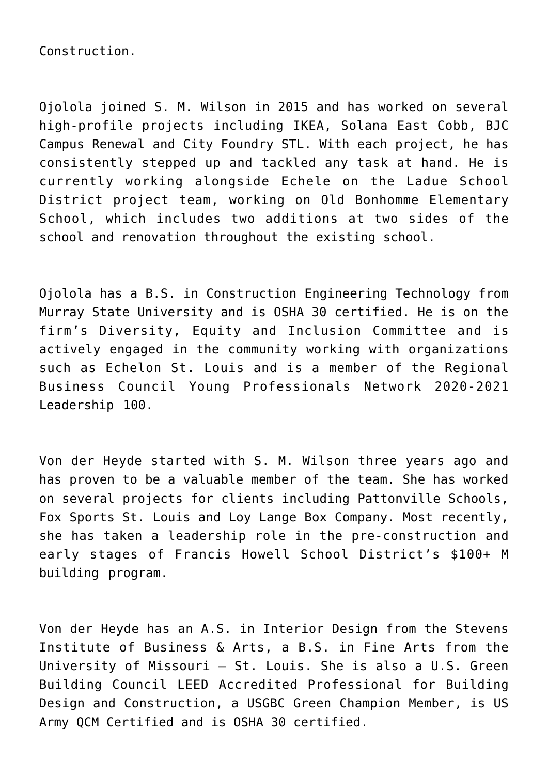Construction.

Ojolola joined S. M. Wilson in 2015 and has worked on several high-profile projects including IKEA, Solana East Cobb, BJC Campus Renewal and City Foundry STL. With each project, he has consistently stepped up and tackled any task at hand. He is currently working alongside Echele on the Ladue School District project team, working on Old Bonhomme Elementary School, which includes two additions at two sides of the school and renovation throughout the existing school.

Ojolola has a B.S. in Construction Engineering Technology from Murray State University and is OSHA 30 certified. He is on the firm's Diversity, Equity and Inclusion Committee and is actively engaged in the community working with organizations such as Echelon St. Louis and is a member of the Regional Business Council Young Professionals Network 2020-2021 Leadership 100.

Von der Heyde started with S. M. Wilson three years ago and has proven to be a valuable member of the team. She has worked on several projects for clients including Pattonville Schools, Fox Sports St. Louis and Loy Lange Box Company. Most recently, she has taken a leadership role in the pre-construction and early stages of Francis Howell School District's \$100+ M building program.

Von der Heyde has an A.S. in Interior Design from the Stevens Institute of Business & Arts, a B.S. in Fine Arts from the University of Missouri – St. Louis. She is also a U.S. Green Building Council LEED Accredited Professional for Building Design and Construction, a USGBC Green Champion Member, is US Army QCM Certified and is OSHA 30 certified.